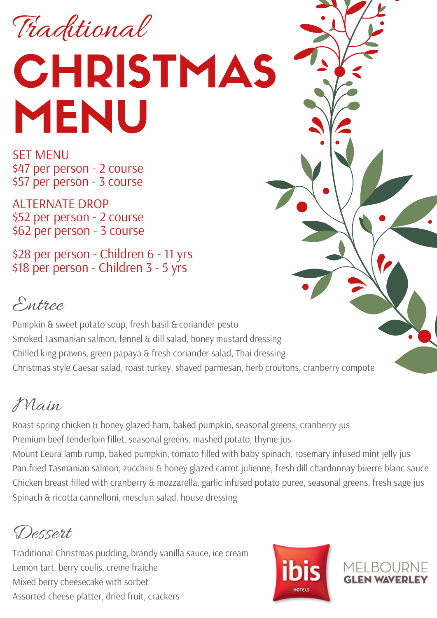Traditional

## **CHRISTMAS** MENU

SET MENU \$47 per person - 2 course \$57 per person - 3 course

ALTERNATE DROP \$52 per person - 2 course \$62 per person - 3 course

\$28 per person - Children 6 - 11 yrs \$18 per person - Children 3 - 5 yrs

## Entree

Pumpkin & sweet potato soup, fresh basil & coriander pesto Smoked Tasmanian salmon, fennel & dill salad, honey mustard dressing Chilled king prawns, green papaya & fresh coriander salad, Thai dressing Christmas style Caesar salad, roast turkey, shaved parmesan, herb croutons, cranberry compote

## Main

Roast spring chicken & honey glazed ham, baked pumpkin, seasonal greens, cranberry jus Premium beef tenderloin fillet, seasonal greens, mashed potato, thyme jus Mount Leura lamb rump, baked pumpkin, tomato filled with baby spinach, rosemary infused mint jelly jus Pan fried Tasmanian salmon, zucchini & honey glazed carrot julienne, fresh dill chardonnay buerre blanc sauce Chicken breast filled with cranberry & mozzarella, garlic infused potato puree, seasonal greens, fresh sage jus Spinach & ricotta cannelloni, mesclun salad, house dressing

Dessert

Traditional Christmas pudding, brandy vanilla sauce, ice cream Lemon tart, berry coulis, creme fraiche Mixed berry cheesecake with sorbet Assorted cheese platter, dried fruit, crackers